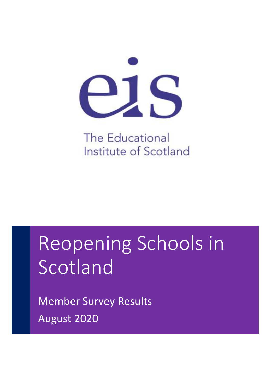

**The Educational** Institute of Scotland

# Reopening Schools in Scotland

Member Survey Results August 2020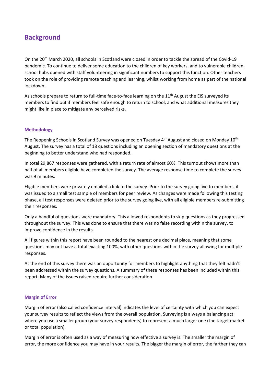# **Background**

On the 20<sup>th</sup> March 2020, all schools in Scotland were closed in order to tackle the spread of the Covid-19 pandemic. To continue to deliver some education to the children of key workers, and to vulnerable children, school hubs opened with staff volunteering in significant numbers to support this function. Other teachers took on the role of providing remote teaching and learning, whilst working from home as part of the national lockdown.

As schools prepare to return to full-time face-to-face learning on the 11<sup>th</sup> August the EIS surveyed its members to find out if members feel safe enough to return to school, and what additional measures they might like in place to mitigate any perceived risks.

#### **Methodology**

The Reopening Schools in Scotland Survey was opened on Tuesday 4<sup>th</sup> August and closed on Monday 10<sup>th</sup> August. The survey has a total of 18 questions including an opening section of mandatory questions at the beginning to better understand who had responded.

In total 29,867 responses were gathered, with a return rate of almost 60%. This turnout shows more than half of all members eligible have completed the survey. The average response time to complete the survey was 9 minutes.

Eligible members were privately emailed a link to the survey. Prior to the survey going live to members, it was issued to a small test sample of members for peer review. As changes were made following this testing phase, all test responses were deleted prior to the survey going live, with all eligible members re-submitting their responses.

Only a handful of questions were mandatory. This allowed respondents to skip questions as they progressed throughout the survey. This was done to ensure that there was no false recording within the survey, to improve confidence in the results.

All figures within this report have been rounded to the nearest one decimal place, meaning that some questions may not have a total exacting 100%, with other questions within the survey allowing for multiple responses.

At the end of this survey there was an opportunity for members to highlight anything that they felt hadn't been addressed within the survey questions. A summary of these responses has been included within this report. Many of the issues raised require further consideration.

#### **Margin of Error**

Margin of error (also called confidence interval) indicates the level of certainty with which you can expect your survey results to reflect the views from the overall population. Surveying is always a balancing act where you use a smaller group (your survey respondents) to represent a much larger one (the target market or total population).

Margin of error is often used as a way of measuring how effective a survey is. The smaller the margin of error, the more confidence you may have in your results. The bigger the margin of error, the farther they can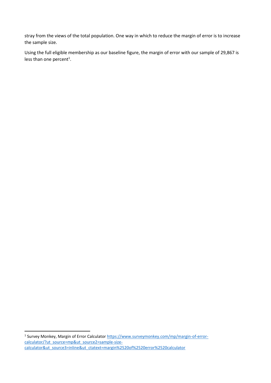stray from the views of the total population. One way in which to reduce the margin of error is to increase the sample size.

Using the full eligible membership as our baseline figure, the margin of error with our sample of 29,867 is less than one percent<sup>1</sup>.

<sup>1</sup> Survey Monkey, Margin of Error Calculator [https://www.surveymonkey.com/mp/margin-of-error](https://www.surveymonkey.com/mp/margin-of-error-calculator/?ut_source=mp&ut_source2=sample-size-calculator&ut_source3=inline&ut_ctatext=margin%2520of%2520error%2520calculator)[calculator/?ut\\_source=mp&ut\\_source2=sample-size](https://www.surveymonkey.com/mp/margin-of-error-calculator/?ut_source=mp&ut_source2=sample-size-calculator&ut_source3=inline&ut_ctatext=margin%2520of%2520error%2520calculator)[calculator&ut\\_source3=inline&ut\\_ctatext=margin%2520of%2520error%2520calculator](https://www.surveymonkey.com/mp/margin-of-error-calculator/?ut_source=mp&ut_source2=sample-size-calculator&ut_source3=inline&ut_ctatext=margin%2520of%2520error%2520calculator)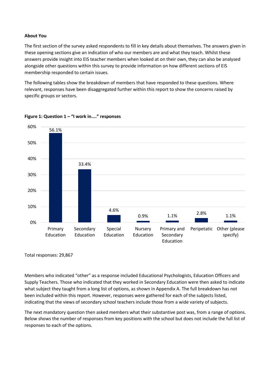#### **About You**

The first section of the survey asked respondents to fill in key details about themselves. The answers given in these opening sections give an indication of who our members are and what they teach. Whilst these answers provide insight into EIS teacher members when looked at on their own, they can also be analysed alongside other questions within this survey to provide information on how different sections of EIS membership responded to certain issues.

The following tables show the breakdown of members that have responded to these questions. Where relevant, responses have been disaggregated further within this report to show the concerns raised by specific groups or sectors.



**Figure 1: Question 1 – "I work in...." responses**

Total responses: 29,867

Members who indicated "other" as a response included Educational Psychologists, Education Officers and Supply Teachers. Those who indicated that they worked in Secondary Education were then asked to indicate what subject they taught from a long list of options, as shown in Appendix A. The full breakdown has not been included within this report. However, responses were gathered for each of the subjects listed, indicating that the views of secondary school teachers include those from a wide variety of subjects.

The next mandatory question then asked members what their substantive post was, from a range of options. Below shows the number of responses from key positions with the school but does not include the full list of responses to each of the options.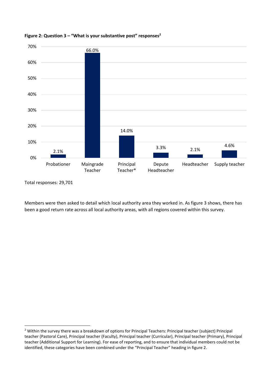

#### **Figure 2: Question 3 – "What is your substantive post" responses<sup>2</sup>**

Total responses: 29,701

Members were then asked to detail which local authority area they worked in. As figure 3 shows, there has been a good return rate across all local authority areas, with all regions covered within this survey.

<sup>&</sup>lt;sup>2</sup> Within the survey there was a breakdown of options for Principal Teachers: Principal teacher (subject) Principal teacher (Pastoral Care), Principal teacher (Faculty), Principal teacher (Curricular), Principal teacher (Primary), Principal teacher (Additional Support for Learning). For ease of reporting, and to ensure that individual members could not be identified, these categories have been combined under the "Principal Teacher" heading in figure 2.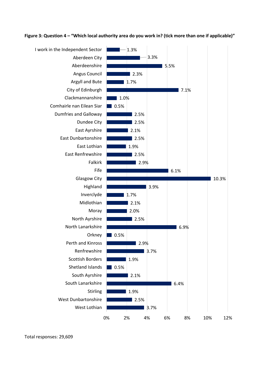#### **Figure 3: Question 4 – "Which local authority area do you work in? (tick more than one if applicable)"**



Total responses: 29,609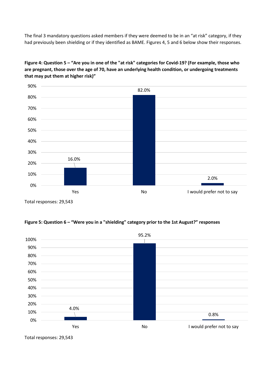The final 3 mandatory questions asked members if they were deemed to be in an "at risk" category, if they had previously been shielding or if they identified as BAME. Figures 4, 5 and 6 below show their responses.



**Figure 4: Question 5 – "Are you in one of the "at risk" categories for Covid-19? (For example, those who are pregnant, those over the age of 70, have an underlying health condition, or undergoing treatments that may put them at higher risk)"**

Total responses: 29,543

#### **Figure 5: Question 6 – "Were you in a "shielding" category prior to the 1st August?" responses**



Total responses: 29,543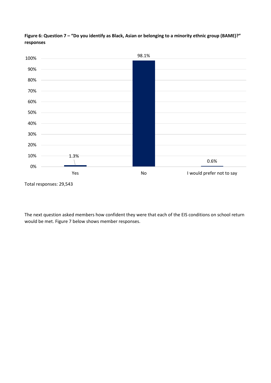

**Figure 6: Question 7 – "Do you identify as Black, Asian or belonging to a minority ethnic group (BAME)?" responses**

The next question asked members how confident they were that each of the EIS conditions on school return would be met. Figure 7 below shows member responses.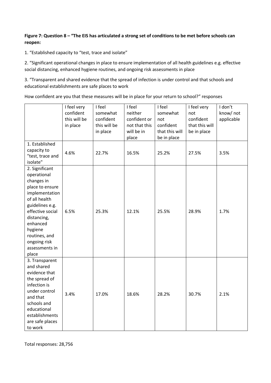## **Figure 7: Question 8 – "The EIS has articulated a strong set of conditions to be met before schools can reopen:**

1. "Established capacity to "test, trace and isolate"

2. "Significant operational changes in place to ensure implementation of all health guidelines e.g. effective social distancing, enhanced hygiene routines, and ongoing risk assessments in place

3. "Transparent and shared evidence that the spread of infection is under control and that schools and educational establishments are safe places to work

How confident are you that these measures will be in place for your return to school?" responses

|                                                                                                                                                                                                                                            | I feel very<br>confident<br>this will be<br>in place | I feel<br>somewhat<br>confident<br>this will be<br>in place | I feel<br>neither<br>confident or<br>not that this<br>will be in<br>place | I feel<br>somewhat<br>not<br>confident<br>that this will<br>be in place | I feel very<br>not<br>confident<br>that this will<br>be in place | I don't<br>know/not<br>applicable |
|--------------------------------------------------------------------------------------------------------------------------------------------------------------------------------------------------------------------------------------------|------------------------------------------------------|-------------------------------------------------------------|---------------------------------------------------------------------------|-------------------------------------------------------------------------|------------------------------------------------------------------|-----------------------------------|
| 1. Established<br>capacity to<br>"test, trace and<br>isolate"                                                                                                                                                                              | 4.6%                                                 | 22.7%                                                       | 16.5%                                                                     | 25.2%                                                                   | 27.5%                                                            | 3.5%                              |
| 2. Significant<br>operational<br>changes in<br>place to ensure<br>implementation<br>of all health<br>guidelines e.g.<br>effective social<br>distancing,<br>enhanced<br>hygiene<br>routines, and<br>ongoing risk<br>assessments in<br>place | 6.5%                                                 | 25.3%                                                       | 12.1%                                                                     | 25.5%                                                                   | 28.9%                                                            | 1.7%                              |
| 3. Transparent<br>and shared<br>evidence that<br>the spread of<br>infection is<br>under control<br>and that<br>schools and<br>educational<br>establishments<br>are safe places<br>to work                                                  | 3.4%                                                 | 17.0%                                                       | 18.6%                                                                     | 28.2%                                                                   | 30.7%                                                            | 2.1%                              |

Total responses: 28,756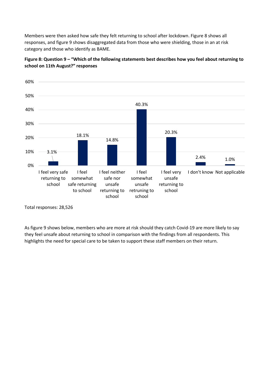Members were then asked how safe they felt returning to school after lockdown. Figure 8 shows all responses, and figure 9 shows disaggregated data from those who were shielding, those in an at risk category and those who identify as BAME.



**Figure 8: Question 9 – "Which of the following statements best describes how you feel about returning to school on 11th August?" responses**

As figure 9 shows below, members who are more at risk should they catch Covid-19 are more likely to say they feel unsafe about returning to school in comparison with the findings from all respondents. This highlights the need for special care to be taken to support these staff members on their return.

Total responses: 28,526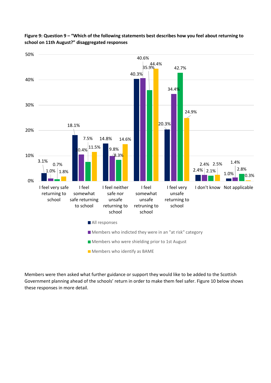

## **Figure 9: Question 9 – "Which of the following statements best describes how you feel about returning to school on 11th August?" disaggregated responses**

Members were then asked what further guidance or support they would like to be added to the Scottish Government planning ahead of the schools' return in order to make them feel safer. Figure 10 below shows these responses in more detail.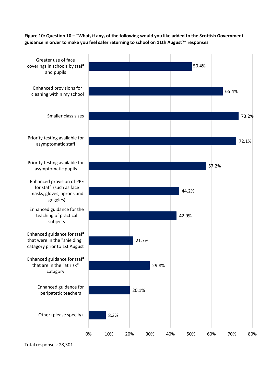**Figure 10: Question 10 – "What, if any, of the following would you like added to the Scottish Government guidance in order to make you feel safer returning to school on 11th August?" responses**



Total responses: 28,301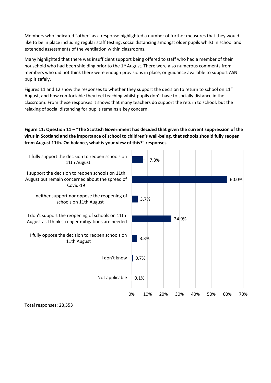Members who indicated "other" as a response highlighted a number of further measures that they would like to be in place including regular staff testing, social distancing amongst older pupils whilst in school and extended assessments of the ventilation within classrooms.

Many highlighted that there was insufficient support being offered to staff who had a member of their household who had been shielding prior to the  $1<sup>st</sup>$  August. There were also numerous comments from members who did not think there were enough provisions in place, or guidance available to support ASN pupils safely.

Figures 11 and 12 show the responses to whether they support the decision to return to school on  $11<sup>th</sup>$ August, and how comfortable they feel teaching whilst pupils don't have to socially distance in the classroom. From these responses it shows that many teachers do support the return to school, but the relaxing of social distancing for pupils remains a key concern.

**Figure 11: Question 11 – "The Scottish Government has decided that given the current suppression of the virus in Scotland and the importance of school to children's well-being, that schools should fully reopen from August 11th. On balance, what is your view of this?" responses** 



Total responses: 28,553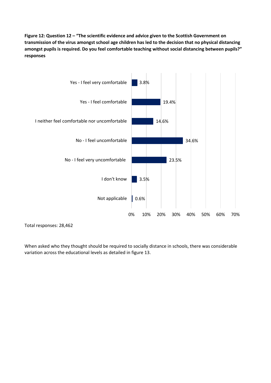**Figure 12: Question 12 – "The scientific evidence and advice given to the Scottish Government on transmission of the virus amongst school age children has led to the decision that no physical distancing amongst pupils is required. Do you feel comfortable teaching without social distancing between pupils?" responses** 



Total responses: 28,462

When asked who they thought should be required to socially distance in schools, there was considerable variation across the educational levels as detailed in figure 13.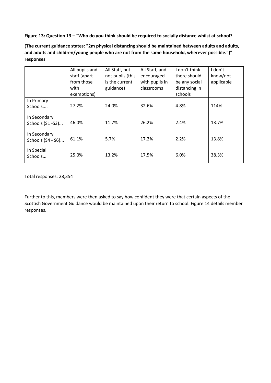**Figure 13: Question 13 – "Who do you think should be required to socially distance whilst at school?**

| (The current guidance states: "2m physical distancing should be maintained between adults and adults, |
|-------------------------------------------------------------------------------------------------------|
| and adults and children/young people who are not from the same household, wherever possible.")"       |
| responses                                                                                             |

|                                   | All pupils and<br>staff (apart<br>from those<br>with<br>exemptions) | All Staff, but<br>not pupils (this<br>is the current<br>guidance) | All Staff, and<br>encouraged<br>with pupils in<br>classrooms | I don't think<br>there should<br>be any social<br>distancing in<br>schools | I don't<br>know/not<br>applicable |
|-----------------------------------|---------------------------------------------------------------------|-------------------------------------------------------------------|--------------------------------------------------------------|----------------------------------------------------------------------------|-----------------------------------|
| In Primary<br>Schools             | 27.2%                                                               | 24.0%                                                             | 32.6%                                                        | 4.8%                                                                       | 114%                              |
| In Secondary<br>Schools (S1-S3)   | 46.0%                                                               | 11.7%                                                             | 26.2%                                                        | 2.4%                                                                       | 13.7%                             |
| In Secondary<br>Schools (S4 - S6) | 61.1%                                                               | 5.7%                                                              | 17.2%                                                        | 2.2%                                                                       | 13.8%                             |
| In Special<br>Schools             | 25.0%                                                               | 13.2%                                                             | 17.5%                                                        | 6.0%                                                                       | 38.3%                             |

Total responses: 28,354

Further to this, members were then asked to say how confident they were that certain aspects of the Scottish Government Guidance would be maintained upon their return to school. Figure 14 details member responses.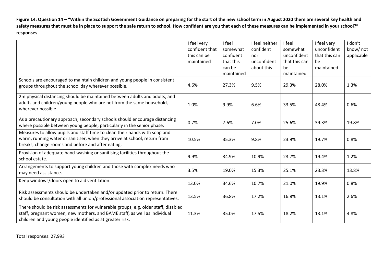**Figure 14: Question 14 – "Within the Scottish Government Guidance on preparing for the start of the new school term in August 2020 there are several key health and safety measures that must be in place to support the safe return to school. How confident are you that each of these measures can be implemented in your school?" responses**

|                                                                                                                                                                                                                             | I feel very<br>confident that<br>this can be<br>maintained | I feel<br>somewhat<br>confident<br>that this<br>can be<br>maintained | I feel neither<br>confident<br>nor<br>unconfident<br>about this | I feel<br>somewhat<br>unconfident<br>that this can<br>be<br>maintained | I feel very<br>unconfident<br>that this can<br>be<br>maintained | I don't<br>know/ not<br>applicable |
|-----------------------------------------------------------------------------------------------------------------------------------------------------------------------------------------------------------------------------|------------------------------------------------------------|----------------------------------------------------------------------|-----------------------------------------------------------------|------------------------------------------------------------------------|-----------------------------------------------------------------|------------------------------------|
| Schools are encouraged to maintain children and young people in consistent<br>groups throughout the school day wherever possible.                                                                                           | 4.6%                                                       | 27.3%                                                                | 9.5%                                                            | 29.3%                                                                  | 28.0%                                                           | 1.3%                               |
| 2m physical distancing should be maintained between adults and adults, and<br>adults and children/young people who are not from the same household,<br>wherever possible.                                                   | 1.0%                                                       | 9.9%                                                                 | 6.6%                                                            | 33.5%                                                                  | 48.4%                                                           | 0.6%                               |
| As a precautionary approach, secondary schools should encourage distancing<br>where possible between young people, particularly in the senior phase.                                                                        | 0.7%                                                       | 7.6%                                                                 | 7.0%                                                            | 25.6%                                                                  | 39.3%                                                           | 19.8%                              |
| Measures to allow pupils and staff time to clean their hands with soap and<br>warm, running water or sanitiser, when they arrive at school, return from<br>breaks, change rooms and before and after eating.                | 10.5%                                                      | 35.3%                                                                | 9.8%                                                            | 23.9%                                                                  | 19.7%                                                           | 0.8%                               |
| Provision of adequate hand-washing or sanitising facilities throughout the<br>school estate.                                                                                                                                | 9.9%                                                       | 34.9%                                                                | 10.9%                                                           | 23.7%                                                                  | 19.4%                                                           | 1.2%                               |
| Arrangements to support young children and those with complex needs who<br>may need assistance.                                                                                                                             | 3.5%                                                       | 19.0%                                                                | 15.3%                                                           | 25.1%                                                                  | 23.3%                                                           | 13.8%                              |
| Keep windows/doors open to aid ventilation.                                                                                                                                                                                 | 13.0%                                                      | 34.6%                                                                | 10.7%                                                           | 21.0%                                                                  | 19.9%                                                           | 0.8%                               |
| Risk assessments should be undertaken and/or updated prior to return. There<br>should be consultation with all union/professional association representatives.                                                              | 13.5%                                                      | 36.8%                                                                | 17.2%                                                           | 16.8%                                                                  | 13.1%                                                           | 2.6%                               |
| There should be risk assessments for vulnerable groups, e.g. older staff, disabled<br>staff, pregnant women, new mothers, and BAME staff, as well as individual<br>children and young people identified as at greater risk. | 11.3%                                                      | 35.0%                                                                | 17.5%                                                           | 18.2%                                                                  | 13.1%                                                           | 4.8%                               |

Total responses: 27,993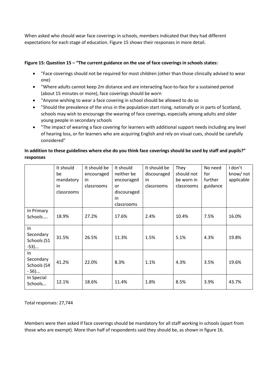When asked who should wear face coverings in schools, members indicated that they had different expectations for each stage of education. Figure 15 shows their responses in more detail.

## **Figure 15: Question 15 – "The current guidance on the use of face coverings in schools states:**

- "Face coverings should not be required for most children (other than those clinically advised to wear one)
- "Where adults cannot keep 2m distance and are interacting face-to-face for a sustained period (about 15 minutes or more), face coverings should be worn
- "Anyone wishing to wear a face covering in school should be allowed to do so
- "Should the prevalence of the virus in the population start rising, nationally or in parts of Scotland, schools may wish to encourage the wearing of face coverings, especially among adults and older young people in secondary schools
- "The impact of wearing a face covering for learners with additional support needs including any level of hearing loss, or for learners who are acquiring English and rely on visual cues, should be carefully considered"

# **In addition to these guidelines where else do you think face coverings should be used by staff and pupils?" responses**

|                                           | It should<br>be<br>mandatory<br>in<br>classrooms | It should be<br>encouraged<br>in<br>classrooms | It should<br>neither be<br>encouraged<br>or<br>discouraged<br>in<br>classrooms | It should be<br>discouraged<br>in<br>classrooms | They<br>should not<br>be worn in<br>classrooms | No need<br>for<br>further<br>guidance | I don't<br>know/ not<br>applicable |
|-------------------------------------------|--------------------------------------------------|------------------------------------------------|--------------------------------------------------------------------------------|-------------------------------------------------|------------------------------------------------|---------------------------------------|------------------------------------|
| In Primary<br>Schools                     | 18.9%                                            | 27.2%                                          | 17.6%                                                                          | 2.4%                                            | 10.4%                                          | 7.5%                                  | 16.0%                              |
| In<br>Secondary<br>Schools (S1<br>$-S3)$  | 31.5%                                            | 26.5%                                          | 11.3%                                                                          | 1.5%                                            | 5.1%                                           | 4.3%                                  | 19.8%                              |
| In<br>Secondary<br>Schools (S4<br>$-S6$ ) | 41.2%                                            | 22.0%                                          | 8.3%                                                                           | 1.1%                                            | 4.3%                                           | 3.5%                                  | 19.6%                              |
| In Special<br>Schools                     | 12.1%                                            | 18.6%                                          | 11.4%                                                                          | 1.8%                                            | 8.5%                                           | 3.9%                                  | 43.7%                              |

Total responses: 27,744

Members were then asked if face coverings should be mandatory for all staff working in schools (apart from those who are exempt). More than half of respondents said they should be, as shown in figure 16.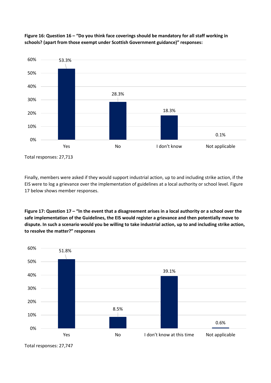

**Figure 16: Question 16 – "Do you think face coverings should be mandatory for all staff working in schools? (apart from those exempt under Scottish Government guidance)" responses:**

Total responses: 27,713

Finally, members were asked if they would support industrial action, up to and including strike action, if the EIS were to log a grievance over the implementation of guidelines at a local authority or school level. Figure 17 below shows member responses.

**Figure 17: Question 17 – "In the event that a disagreement arises in a local authority or a school over the safe implementation of the Guidelines, the EIS would register a grievance and then potentially move to dispute. In such a scenario would you be willing to take industrial action, up to and including strike action, to resolve the matter?" responses** 



Total responses: 27,747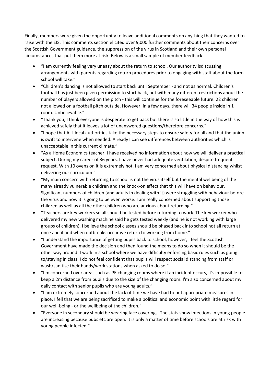Finally, members were given the opportunity to leave additional comments on anything that they wanted to raise with the EIS. This comments section elicited over 9,000 further comments about their concerns over the Scottish Government guidance, the suppression of the virus in Scotland and their own personal circumstances that put them more at risk. Below is a small sample of member feedback.

- "I am currently feeling very uneasy about the return to school. Our authority isdiscussing arrangements with parents regarding return procedures prior to engaging with staff about the form school will take."
- "Children's dancing is not allowed to start back until September and not as normal. Children's football has just been given permission to start back, but with many different restrictions about the number of players allowed on the pitch - this will continue for the foreseeable future. 22 children not allowed on a football pitch outside. However, in a few days, there will 34 people inside in 1 room. Unbelievable."
- "Thank you, I think everyone is desperate to get back but there is so little in the way of how this is achieved safely that it leaves a lot of unanswered questions/therefore concerns."
- "I hope that ALL local authorities take the necessary steps to ensure safety for all and that the union is swift to intervene when needed. Already I can see differences between authorities which is unacceptable in this current climate."
- "As a Home Economics teacher, I have received no information about how we will deliver a practical subject. During my career of 36 years, I have never had adequate ventilation, despite frequent request. With 10 ovens on it is extremely hot. I am very concerned about physical distancing whilst delivering our curriculum."
- "My main concern with returning to school is not the virus itself but the mental wellbeing of the many already vulnerable children and the knock-on effect that this will have on behaviour. Significant numbers of children (and adults in dealing with it) were struggling with behaviour before the virus and now it is going to be even worse. I am really concerned about supporting those children as well as all the other children who are anxious about returning."
- "Teachers are key workers so all should be tested before returning to work. The key worker who delivered my new washing machine said he gets tested weekly (and he is not working with large groups of children). I believe the school classes should be phased back into school not all return at once and if and when outbreaks occur we return to working from home."
- "I understand the importance of getting pupils back to school, however, I feel the Scottish Government have made the decision and then found the means to do so when it should be the other way around. I work in a school where we have difficulty enforcing basic rules such as going to/staying in class. I do not feel confident that pupils will respect social distancing from staff or wash/sanitise their hands/work stations when asked to do so."
- "I'm concerned over areas such as PE changing rooms where if an incident occurs, it's impossible to keep a 2m distance from pupils due to the size of the changing room. I'm also concerned about my daily contact with senior pupils who are young adults."
- "I am extremely concerned about the lack of time we have had to put appropriate measures in place. I fell that we are being sacrificed to make a political and economic point with little regard for our well-being - or the wellbeing of the children."
- "Everyone in secondary should be wearing face coverings. The stats show infections in young people are increasing because pubs etc are open. It is only a matter of time before schools are at risk with young people infected."